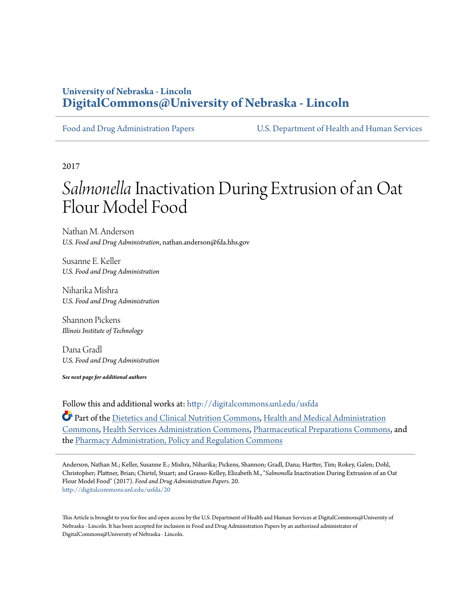# **University of Nebraska - Lincoln [DigitalCommons@University of Nebraska - Lincoln](http://digitalcommons.unl.edu?utm_source=digitalcommons.unl.edu%2Fusfda%2F20&utm_medium=PDF&utm_campaign=PDFCoverPages)**

[Food and Drug Administration Papers](http://digitalcommons.unl.edu/usfda?utm_source=digitalcommons.unl.edu%2Fusfda%2F20&utm_medium=PDF&utm_campaign=PDFCoverPages) [U.S. Department of Health and Human Services](http://digitalcommons.unl.edu/ushhs?utm_source=digitalcommons.unl.edu%2Fusfda%2F20&utm_medium=PDF&utm_campaign=PDFCoverPages)

2017

# Salmonella Inactivation During Extrusion of an Oat Flour Model Food

Nathan M. Anderson *U.S. Food and Drug Administration*, nathan.anderson@fda.hhs.gov

Susanne E. Keller *U.S. Food and Drug Administration*

Niharika Mishra *U.S. Food and Drug Administration*

Shannon Pickens *Illinois Institute of Technology*

Dana Gradl *U.S. Food and Drug Administration*

*See next page for additional authors*

Follow this and additional works at: [http://digitalcommons.unl.edu/usfda](http://digitalcommons.unl.edu/usfda?utm_source=digitalcommons.unl.edu%2Fusfda%2F20&utm_medium=PDF&utm_campaign=PDFCoverPages)

Part of the [Dietetics and Clinical Nutrition Commons,](https://network.bepress.com/hgg/discipline/662?utm_source=digitalcommons.unl.edu%2Fusfda%2F20&utm_medium=PDF&utm_campaign=PDFCoverPages) [Health and Medical Administration](https://network.bepress.com/hgg/discipline/663?utm_source=digitalcommons.unl.edu%2Fusfda%2F20&utm_medium=PDF&utm_campaign=PDFCoverPages) [Commons,](https://network.bepress.com/hgg/discipline/663?utm_source=digitalcommons.unl.edu%2Fusfda%2F20&utm_medium=PDF&utm_campaign=PDFCoverPages) [Health Services Administration Commons,](https://network.bepress.com/hgg/discipline/747?utm_source=digitalcommons.unl.edu%2Fusfda%2F20&utm_medium=PDF&utm_campaign=PDFCoverPages) [Pharmaceutical Preparations Commons,](https://network.bepress.com/hgg/discipline/936?utm_source=digitalcommons.unl.edu%2Fusfda%2F20&utm_medium=PDF&utm_campaign=PDFCoverPages) and the [Pharmacy Administration, Policy and Regulation Commons](https://network.bepress.com/hgg/discipline/732?utm_source=digitalcommons.unl.edu%2Fusfda%2F20&utm_medium=PDF&utm_campaign=PDFCoverPages)

Anderson, Nathan M.; Keller, Susanne E.; Mishra, Niharika; Pickens, Shannon; Gradl, Dana; Hartter, Tim; Rokey, Galen; Dohl, Christopher; Plattner, Brian; Chirtel, Stuart; and Grasso-Kelley, Elizabeth M., "*Salmonella* Inactivation During Extrusion of an Oat Flour Model Food" (2017). *Food and Drug Administration Papers*. 20. [http://digitalcommons.unl.edu/usfda/20](http://digitalcommons.unl.edu/usfda/20?utm_source=digitalcommons.unl.edu%2Fusfda%2F20&utm_medium=PDF&utm_campaign=PDFCoverPages)

This Article is brought to you for free and open access by the U.S. Department of Health and Human Services at DigitalCommons@University of Nebraska - Lincoln. It has been accepted for inclusion in Food and Drug Administration Papers by an authorized administrator of DigitalCommons@University of Nebraska - Lincoln.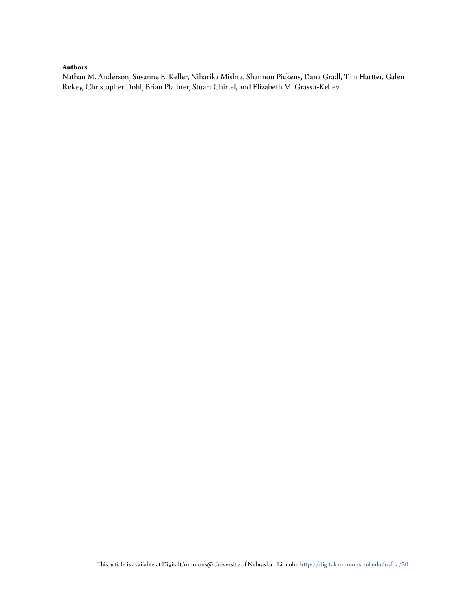# **Authors**

Nathan M. Anderson, Susanne E. Keller, Niharika Mishra, Shannon Pickens, Dana Gradl, Tim Hartter, Galen Rokey, Christopher Dohl, Brian Plattner, Stuart Chirtel, and Elizabeth M. Grasso-Kelley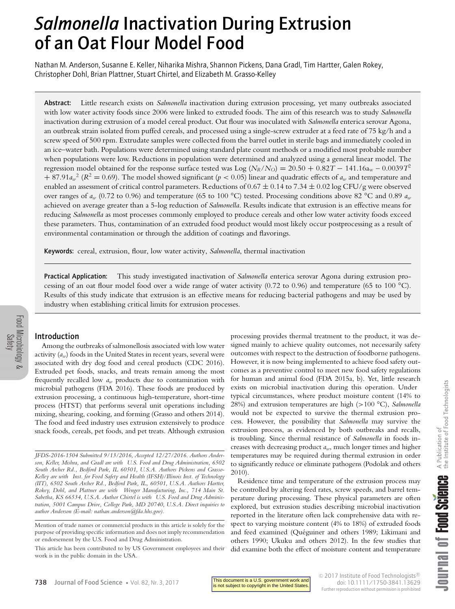# *Salmonella* Inactivation During Extrusion of an Oat Flour Model Food

Nathan M. Anderson, Susanne E. Keller, Niharika Mishra, Shannon Pickens, Dana Gradl, Tim Hartter, Galen Rokey, Christopher Dohl, Brian Plattner, Stuart Chirtel, and Elizabeth M. Grasso-Kelley

Abstract: Little research exists on *Salmonella* inactivation during extrusion processing, yet many outbreaks associated with low water activity foods since 2006 were linked to extruded foods. The aim of this research was to study *Salmonella* inactivation during extrusion of a model cereal product. Oat flour was inoculated with *Salmonella* enterica serovar Agona, an outbreak strain isolated from puffed cereals, and processed using a single-screw extruder at a feed rate of 75 kg/h and a screw speed of 500 rpm. Extrudate samples were collected from the barrel outlet in sterile bags and immediately cooled in an ice–water bath. Populations were determined using standard plate count methods or a modified most probable number when populations were low. Reductions in population were determined and analyzed using a general linear model. The regression model obtained for the response surface tested was Log ( $N_R/N_O$ ) = 20.50 + 0.82*T* − 141.16a<sub>w</sub> – 0.0039*T*<sup>2</sup>  $+ 87.91a_w^2$  ( $R^2 = 0.69$ ). The model showed significant ( $p < 0.05$ ) linear and quadratic effects of  $a_w$  and temperature and enabled an assessment of critical control parameters. Reductions of  $0.67 \pm 0.14$  to  $7.34 \pm 0.02$  log CFU/g were observed over ranges of *aw* (0.72 to 0.96) and temperature (65 to 100 °C) tested. Processing conditions above 82 °C and 0.89 *aw* achieved on average greater than a 5-log reduction of *Salmonella*. Results indicate that extrusion is an effective means for reducing *Salmonella* as most processes commonly employed to produce cereals and other low water activity foods exceed these parameters. Thus, contamination of an extruded food product would most likely occur postprocessing as a result of environmental contamination or through the addition of coatings and flavorings.

Keywords: cereal, extrusion, flour, low water activity, *Salmonella*, thermal inactivation

Practical Application: This study investigated inactivation of *Salmonella* enterica serovar Agona during extrusion processing of an oat flour model food over a wide range of water activity  $(0.72 \text{ to } 0.96)$  and temperature  $(65 \text{ to } 100 \text{ °C})$ . Results of this study indicate that extrusion is an effective means for reducing bacterial pathogens and may be used by industry when establishing critical limits for extrusion processes.

# Introduction

Among the outbreaks of salmonellosis associated with low water activity (*aw*) foods in the United States in recent years, several were associated with dry dog food and cereal products (CDC 2016). Extruded pet foods, snacks, and treats remain among the most frequently recalled low *aw* products due to contamination with microbial pathogens (FDA 2016). These foods are produced by extrusion processing, a continuous high-temperature, short-time process (HTST) that performs several unit operations including mixing, shearing, cooking, and forming (Grasso and others 2014). The food and feed industry uses extrusion extensively to produce snack foods, cereals, pet foods, and pet treats. Although extrusion

processing provides thermal treatment to the product, it was designed mainly to achieve quality outcomes, not necessarily safety outcomes with respect to the destruction of foodborne pathogens. However, it is now being implemented to achieve food safety outcomes as a preventive control to meet new food safety regulations for human and animal food (FDA 2015a, b). Yet, little research exists on microbial inactivation during this operation. Under typical circumstances, where product moisture content (14% to 28%) and extrusion temperatures are high (*>*100 °C), *Salmonella* would not be expected to survive the thermal extrusion process. However, the possibility that *Salmonella* may survive the extrusion process, as evidenced by both outbreaks and recalls, is troubling. Since thermal resistance of *Salmonella* in foods increases with decreasing product *aw*, much longer times and higher temperatures may be required during thermal extrusion in order to significantly reduce or eliminate pathogens (Podolak and others 2010).

Residence time and temperature of the extrusion process may be controlled by altering feed rates, screw speeds, and barrel temperature during processing. These physical parameters are often explored, but extrusion studies describing microbial inactivation reported in the literature often lack comprehensive data with respect to varying moisture content (4% to 18%) of extruded foods and feed examined (Quéguiner and others 1989; Likimani and others 1990; Ukuku and others 2012). In the few studies that did examine both the effect of moisture content and temperature

*JFDS-2016-1504 Submitted 9/13/2016, Accepted 12/27/2016. Authors Anderson, Keller, Mishra, and Gradl are with U.S. Food and Drug Administration, 6502 South Archer Rd., Bedford Park, IL 60501, U.S.A. Authors Pickens and Grasso-Kelley are with Inst. for Food Safety and Health (IFSH)/Illinois Inst. of Technology (IIT), 6502 South Archer Rd., Bedford Park, IL, 60501, U.S.A. Authors Hartter, Rokey, Dohl, and Plattner are with Wenger Manufacturing, Inc., 714 Main St. Sabetha, KS 66534, U.S.A. Author Chirtel is with U.S. Food and Drug Administration, 5001 Campus Drive, College Park, MD 20740, U.S.A. Direct inquiries to author Anderson (E-mail: nathan.anderson@fda.hhs.gov).*

Mention of trade names or commercial products in this article is solely for the purpose of providing specific information and does not imply recommendation or endorsement by the U.S. Food and Drug Administration.

This article has been contributed to by US Government employees and their work is in the public domain in the USA.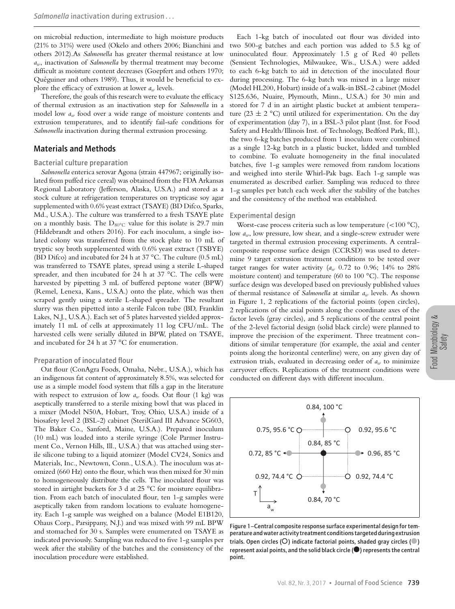on microbial reduction, intermediate to high moisture products (21% to 31%) were used (Okelo and others 2006; Bianchini and others 2012).As *Salmonella* has greater thermal resistance at low *aw*, inactivation of *Salmonella* by thermal treatment may become difficult as moisture content decreases (Goepfert and others 1970; Quéguiner and others 1989). Thus, it would be beneficial to explore the efficacy of extrusion at lower *aw* levels.

Therefore, the goals of this research were to evaluate the efficacy of thermal extrusion as an inactivation step for *Salmonella* in a model low *aw* food over a wide range of moisture contents and extrusion temperatures, and to identify fail-safe conditions for *Salmonella* inactivation during thermal extrusion processing.

# Materials and Methods

#### Bacterial culture preparation

*Salmonella* enterica serovar Agona (strain 447967; originally isolated from puffed rice cereal) was obtained from the FDA Arkansas Regional Laboratory (Jefferson, Alaska, U.S.A.) and stored as a stock culture at refrigeration temperatures on trypticase soy agar supplemented with 0.6% yeast extract (TSAYE) (BD Difco, Sparks, Md., U.S.A.). The culture was transferred to a fresh TSAYE plate on a monthly basis. The  $D_{80^{\circ}C}$  value for this isolate is 29.7 min (Hildebrandt and others 2016). For each inoculum, a single isolated colony was transferred from the stock plate to 10 mL of tryptic soy broth supplemented with 0.6% yeast extract (TSBYE) (BD Difco) and incubated for 24 h at 37 °C. The culture (0.5 mL) was transferred to TSAYE plates, spread using a sterile L-shaped spreader, and then incubated for 24 h at 37 °C. The cells were harvested by pipetting 3 mL of buffered peptone water (BPW) (Remel, Lenexa, Kans., U.S.A.) onto the plate, which was then scraped gently using a sterile L-shaped spreader. The resultant slurry was then pipetted into a sterile Falcon tube (BD, Franklin Lakes, N.J., U.S.A.). Each set of 5 plates harvested yielded approximately 11 mL of cells at approximately 11 log CFU/mL. The harvested cells were serially diluted in BPW, plated on TSAYE, and incubated for 24 h at 37 °C for enumeration.

#### Preparation of inoculated flour

Oat flour (ConAgra Foods, Omaha, Nebr., U.S.A.), which has an indigenous fat content of approximately 8.5%, was selected for use as a simple model food system that fills a gap in the literature with respect to extrusion of low  $a_w$  foods. Oat flour (1 kg) was aseptically transferred to a sterile mixing bowl that was placed in a mixer (Model N50A, Hobart, Troy, Ohio, U.S.A.) inside of a biosafety level 2 (BSL-2) cabinet (SterilGard III Advance SG603, The Baker Co., Sanford, Maine, U.S.A.). Prepared inoculum (10 mL) was loaded into a sterile syringe (Cole Parmer Instrument Co., Vernon Hills, Ill., U.S.A.) that was attached using sterile silicone tubing to a liquid atomizer (Model CV24, Sonics and Materials, Inc., Newtown, Conn., U.S.A.). The inoculum was atomized (660 Hz) onto the flour, which was then mixed for 30 min to homogeneously distribute the cells. The inoculated flour was stored in airtight buckets for 3 d at 25 °C for moisture equilibration. From each batch of inoculated flour, ten 1-g samples were aseptically taken from random locations to evaluate homogeneity. Each 1-g sample was weighed on a balance (Model E1B120, Ohaus Corp., Parsippany, N.J.) and was mixed with 99 mL BPW and stomached for 30 s. Samples were enumerated on TSAYE as indicated previously. Sampling was reduced to five 1-g samples per week after the stability of the batches and the consistency of the inoculation procedure were established.

Each 1-kg batch of inoculated oat flour was divided into two 500-g batches and each portion was added to 5.5 kg of uninoculated flour. Approximately 1.5 g of Red 40 pellets (Sensient Technologies, Milwaukee, Wis., U.S.A.) were added to each 6-kg batch to aid in detection of the inoculated flour during processing. The 6-kg batch was mixed in a large mixer (Model HL200, Hobart) inside of a walk-in BSL-2 cabinet (Model S125.636, Nuaire, Plymouth, Minn., U.S.A.) for 30 min and stored for 7 d in an airtight plastic bucket at ambient temperature (23  $\pm$  2 °C) until utilized for experimentation. On the day of experimentation (day 7), in a BSL-3 pilot plant (Inst. for Food Safety and Health/Illinois Inst. of Technology, Bedford Park, Ill.), the two 6-kg batches produced from 1 inoculum were combined as a single 12-kg batch in a plastic bucket, lidded and tumbled to combine. To evaluate homogeneity in the final inoculated batches, five 1-g samples were removed from random locations and weighed into sterile Whirl-Pak bags. Each 1-g sample was enumerated as described earlier. Sampling was reduced to three 1-g samples per batch each week after the stability of the batches and the consistency of the method was established.

#### Experimental design

Worst-case process criteria such as low temperature (*<*100 °C), low *aw*, low pressure, low shear, and a single-screw extruder were targeted in thermal extrusion processing experiments. A centralcomposite response surface design (CCRSD) was used to determine 9 target extrusion treatment conditions to be tested over target ranges for water activity  $(a_w 0.72$  to 0.96; 14% to 28% moisture content) and temperature (60 to 100 °C). The response surface design was developed based on previously published values of thermal resistance of *Salmonella* at similar *aw* levels. As shown in Figure 1, 2 replications of the factorial points (open circles), 2 replications of the axial points along the coordinate axes of the factor levels (gray circles), and 5 replications of the central point of the 2-level factorial design (solid black circle) were planned to improve the precision of the experiment. Three treatment conditions of similar temperature (for example, the axial and center points along the horizontal centerline) were, on any given day of extrusion trials, evaluated in decreasing order of *aw* to minimize carryover effects. Replications of the treatment conditions were conducted on different days with different inoculum.



Figure 1–Central composite response surface experimental design for temperature andwater activity treatment conditions targeted during extrusion trials. Open circles ( $\bigcirc$ ) indicate factorial points, shaded gray circles ( $\bigcirc$ ) represent axial points, and the solid black circle  $(\spadesuit)$  represents the central point.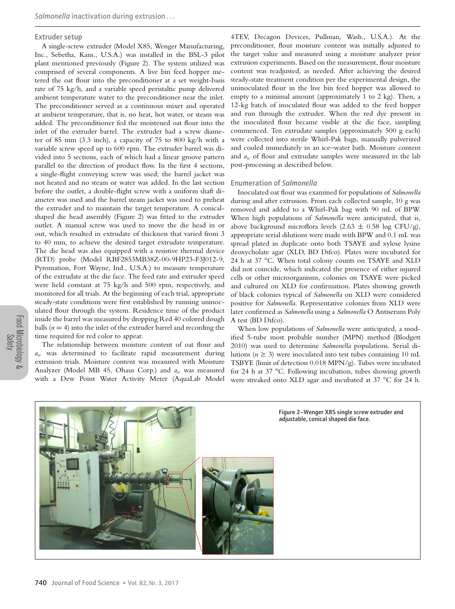#### Extruder setup

A single-screw extruder (Model X85, Wenger Manufacturing, Inc., Sebetha, Kans., U.S.A.) was installed in the BSL-3 pilot plant mentioned previously (Figure 2). The system utilized was comprised of several components. A live bin feed hopper metered the oat flour into the preconditioner at a set weight-basis rate of 75 kg/h, and a variable speed peristaltic pump delivered ambient temperature water to the preconditioner near the inlet. The preconditioner served as a continuous mixer and operated at ambient temperature, that is, no heat, hot water, or steam was added. The preconditioner fed the moistened oat flour into the inlet of the extruder barrel. The extruder had a screw diameter of 85 mm (3.3 inch), a capacity of 75 to 800 kg/h with a variable screw speed up to 600 rpm. The extruder barrel was divided into 5 sections, each of which had a linear groove pattern parallel to the direction of product flow. In the first 4 sections, a single-flight conveying screw was used; the barrel jacket was not heated and no steam or water was added. In the last section before the outlet, a double-flight screw with a uniform shaft diameter was used and the barrel steam jacket was used to preheat the extruder and to maintain the target temperature. A conicalshaped die head assembly (Figure 2) was fitted to the extruder outlet. A manual screw was used to move the die head in or out, which resulted in extrudate of thickness that varied from 3 to 40 mm, to achieve the desired target extrudate temperature. The die head was also equipped with a resistive thermal device (RTD) probe (Model RBF2853MB38Z-00-9HP23-F3J012-9, Pyromation, Fort Wayne, Ind., U.S.A.) to measure temperature of the extrudate at the die face. The feed rate and extruder speed were held constant at 75 kg/h and 500 rpm, respectively, and monitored for all trials. At the beginning of each trial, appropriate steady-state conditions were first established by running uninoculated flour through the system. Residence time of the product inside the barrel was measured by dropping Red 40 colored dough balls  $(n = 4)$  into the inlet of the extruder barrel and recording the time required for red color to appear.

The relationship between moisture content of oat flour and *aw* was determined to facilitate rapid measurement during extrusion trials. Moisture content was measured with Moisture Analyzer (Model MB 45, Ohaus Corp.) and *aw* was measured with a Dew Point Water Activity Meter (AquaLab Model

4TEV, Decagon Devices, Pullman, Wash., U.S.A.). At the preconditioner, flour moisture content was initially adjusted to the target value and measured using a moisture analyzer prior extrusion experiments. Based on the measurement, flour moisture content was readjusted, as needed. After achieving the desired steady-state treatment condition per the experimental design, the uninoculated flour in the live bin feed hopper was allowed to empty to a minimal amount (approximately 1 to 2 kg). Then, a 12-kg batch of inoculated flour was added to the feed hopper and run through the extruder. When the red dye present in the inoculated flour became visible at the die face, sampling commenced. Ten extrudate samples (approximately 500 g each) were collected into sterile Whirl-Pak bags, manually pulverized and cooled immediately in an ice–water bath. Moisture content and *aw* of flour and extrudate samples were measured in the lab post-processing as described below.

## Enumeration of *Salmonella*

Inoculated oat flour was examined for populations of *Salmonella* during and after extrusion. From each collected sample, 10 g was removed and added to a Whirl-Pak bag with 90 mL of BPW. When high populations of *Salmonella* were anticipated, that is, above background microflora levels (2.63  $\pm$  0.58 log CFU/g), appropriate serial dilutions were made with BPW and 0.1 mL was spread plated in duplicate onto both TSAYE and xylose lysine deoxycholate agar (XLD, BD Difco). Plates were incubated for 24 h at 37 °C. When total colony counts on TSAYE and XLD did not coincide, which indicated the presence of either injured cells or other microorganisms, colonies on TSAYE were picked and cultured on XLD for confirmation. Plates showing growth of black colonies typical of *Salmonella* on XLD were considered positive for *Salmonella*. Representative colonies from XLD were later confirmed as *Salmonella* using a *Salmonella* O Antiserum Poly A test (BD Difco).

When low populations of *Salmonella* were anticipated, a modified 5-tube most probable number (MPN) method (Blodgett 2010) was used to determine *Salmonella* populations. Serial dilutions ( $n \geq 3$ ) were inoculated into test tubes containing 10 mL TSBYE (limit of detection 0.018 MPN/g). Tubes were incubated for 24 h at 37 °C. Following incubation, tubes showing growth were streaked onto XLD agar and incubated at 37 °C for 24 h.

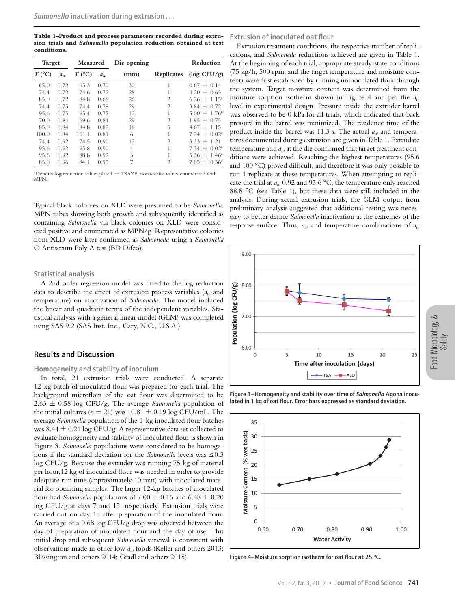**Table 1–Product and process parameters recorded during extrusion trials and** *Salmonella* **population reduction obtained at test conditions.**

| <b>Target</b>       |       | Measured |       | Die opening    |                                                                                                                                                                                                                                                                                                                                                                                                                                                                                   | Reduction                    |  |
|---------------------|-------|----------|-------|----------------|-----------------------------------------------------------------------------------------------------------------------------------------------------------------------------------------------------------------------------------------------------------------------------------------------------------------------------------------------------------------------------------------------------------------------------------------------------------------------------------|------------------------------|--|
| $T$ ( $^{\circ}$ C) | $a_w$ | $T$ (°C) | $a_w$ | (mm)           | Replicates                                                                                                                                                                                                                                                                                                                                                                                                                                                                        | $(\log CFU/g)$               |  |
| 65.0                | 0.72  | 65.3     | 0.70  | 30             | 1                                                                                                                                                                                                                                                                                                                                                                                                                                                                                 | $0.67 \pm 0.14$              |  |
| 74.4                | 0.72  | 74.6     | 0.72  | 28             | 1                                                                                                                                                                                                                                                                                                                                                                                                                                                                                 | $4.20 \pm 0.63$              |  |
| 85.0                | 0.72  | 84.8     | 0.68  | 26             | $\overline{c}$                                                                                                                                                                                                                                                                                                                                                                                                                                                                    | $6.26 \pm 1.15^{\circ}$      |  |
| 74.4                | 0.75  | 74.4     | 0.78  | 29             | $\mathcal{D}_{\mathcal{L}}^{\mathcal{L}}(\mathcal{D}_{\mathcal{L}}^{\mathcal{L}}(\mathcal{D}_{\mathcal{L}}^{\mathcal{L}}(\mathcal{D}_{\mathcal{L}}^{\mathcal{L}}(\mathcal{D}_{\mathcal{L}}^{\mathcal{L}}(\mathcal{D}_{\mathcal{L}}^{\mathcal{L}}(\mathcal{D}_{\mathcal{L}}^{\mathcal{L}}(\mathcal{D}_{\mathcal{L}}^{\mathcal{L}}(\mathcal{D}_{\mathcal{L}}^{\mathcal{L}}(\mathcal{D}_{\mathcal{L}}^{\mathcal{L}}(\mathcal{D}_{\mathcal{L}}^{\mathcal{L}}(\mathcal{D}_{\mathcal{L$ | $3.84 \pm 0.72$              |  |
| 95.6                | 0.75  | 95.4     | 0.75  | 12             | 1                                                                                                                                                                                                                                                                                                                                                                                                                                                                                 | $5.00 \pm 1.76^{\circ}$      |  |
| 70.0                | 0.84  | 69.6     | 0.84  | 29             | $\overline{c}$                                                                                                                                                                                                                                                                                                                                                                                                                                                                    | $1.95 \pm 0.75$              |  |
| 85.0                | 0.84  | 84.8     | 0.82  | 18             | 5                                                                                                                                                                                                                                                                                                                                                                                                                                                                                 | $4.67 \pm 1.15$              |  |
| 100.0               | 0.84  | 101.1    | 0.81  | 6              | 1                                                                                                                                                                                                                                                                                                                                                                                                                                                                                 | $7.24 \pm 0.02^{\circ}$      |  |
| 74.4                | 0.92  | 74.5     | 0.90  | 12             | $\overline{c}$                                                                                                                                                                                                                                                                                                                                                                                                                                                                    | $3.33 \pm 1.21$              |  |
| 95.6                | 0.92  | 95.8     | 0.90  | $\overline{4}$ | 1                                                                                                                                                                                                                                                                                                                                                                                                                                                                                 | $7.34 \pm 0.02^{\circ}$      |  |
| 95.6                | 0.92  | 88.8     | 0.92  | 3              | 1                                                                                                                                                                                                                                                                                                                                                                                                                                                                                 | 5.36 $\pm$ 1.46 <sup>a</sup> |  |
| 85.0                | 0.96  | 84.1     | 0.95  | 7              | $\overline{c}$                                                                                                                                                                                                                                                                                                                                                                                                                                                                    | $7.05 \pm 0.36^{\circ}$      |  |

a Denotes log reduction values plated on TSAYE, nonasterisk values enumerated with **MPN** 

Typical black colonies on XLD were presumed to be *Salmonella*. MPN tubes showing both growth and subsequently identified as containing *Salmonella* via black colonies on XLD were considered positive and enumerated as MPN/g. Representative colonies from XLD were later confirmed as *Salmonella* using a *Salmonella* O Antiserum Poly A test (BD Difco).

## Statistical analysis

A 2nd-order regression model was fitted to the log reduction data to describe the effect of extrusion process variables (*aw* and temperature) on inactivation of *Salmonella*. The model included the linear and quadratic terms of the independent variables. Statistical analysis with a general linear model (GLM) was completed using SAS 9.2 (SAS Inst. Inc., Cary, N.C., U.S.A.).

# Results and Discussion

## Homogeneity and stability of inoculum

In total, 21 extrusion trials were conducted. A separate 12-kg batch of inoculated flour was prepared for each trial. The background microflora of the oat flour was determined to be 2.63 ± 0.58 log CFU/g. The average *Salmonella* population of the initial cultures ( $n = 21$ ) was  $10.81 \pm 0.19$  log CFU/mL. The average *Salmonella* population of the 1-kg inoculated flour batches was 8.44 ± 0.21 log CFU/g. A representative data set collected to evaluate homogeneity and stability of inoculated flour is shown in Figure 3. *Salmonella* populations were considered to be homogenous if the standard deviation for the *Salmonella* levels was  $\leq 0.3$ log CFU/g. Because the extruder was running 75 kg of material per hour,12 kg of inoculated flour was needed in order to provide adequate run time (approximately 10 min) with inoculated material for obtaining samples. The larger 12-kg batches of inoculated flour had *Salmonella* populations of  $7.00 \pm 0.16$  and  $6.48 \pm 0.20$ log CFU/g at days 7 and 15, respectively. Extrusion trials were carried out on day 15 after preparation of the inoculated flour. An average of a 0.68 log CFU/g drop was observed between the day of preparation of inoculated flour and the day of use. This initial drop and subsequent *Salmonella* survival is consistent with observations made in other low *aw* foods (Keller and others 2013; Blessington and others 2014; Gradl and others 2015)

Extrusion of inoculated oat flour

Extrusion treatment conditions, the respective number of replications, and *Salmonella* reductions achieved are given in Table 1. At the beginning of each trial, appropriate steady-state conditions (75 kg/h, 500 rpm, and the target temperature and moisture content) were first established by running uninoculated flour through the system. Target moisture content was determined from the moisture sorption isotherm shown in Figure 4 and per the *aw* level in experimental design. Pressure inside the extruder barrel was observed to be 0 kPa for all trials, which indicated that back pressure in the barrel was minimized. The residence time of the product inside the barrel was 11.3 s. The actual *aw* and temperatures documented during extrusion are given in Table 1. Extrudate temperature and *aw* at the die confirmed that target treatment conditions were achieved. Reaching the highest temperatures (95.6 and 100 °C) proved difficult, and therefore it was only possible to run 1 replicate at these temperatures. When attempting to replicate the trial at  $a_w$  0.92 and 95.6 °C, the temperature only reached 88.8 °C (see Table 1), but these data were still included in the analysis. During actual extrusion trials, the GLM output from preliminary analysis suggested that additional testing was necessary to better define *Salmonella* inactivation at the extremes of the response surface. Thus,  $a_w$  and temperature combinations of  $a_w$ 



Figure 3–Homogeneity and stability over time of *Salmonella* Agona inoculated in 1 kg of oat flour. Error bars expressed as standard deviation.



Figure 4–Moisture sorption isotherm for oat flour at 25 **°**C.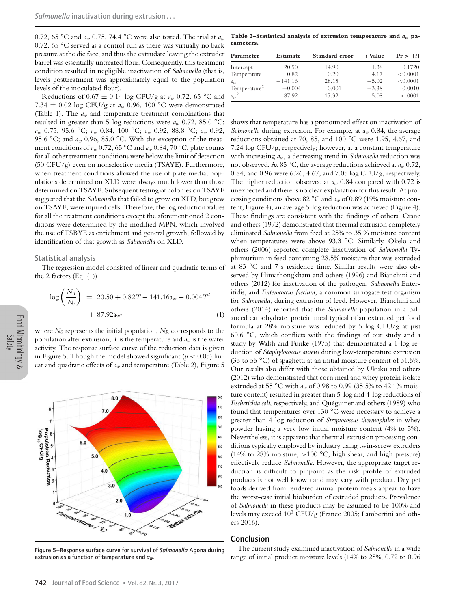0.72, 65 °C and *aw* 0.75, 74.4 °C were also tested. The trial at *aw* 0.72, 65 °C served as a control run as there was virtually no back pressure at the die face, and thus the extrudate leaving the extruder barrel was essentially untreated flour. Consequently, this treatment condition resulted in negligible inactivation of *Salmonella* (that is, levels posttreatment was approximately equal to the population levels of the inoculated flour).

Reductions of 0.67 <sup>±</sup> 0.14 log CFU/g at *aw* 0.72, 65 °C and 7.34  $\pm$  0.02 log CFU/g at  $a_w$  0.96, 100 °C were demonstrated (Table 1). The *aw* and temperature treatment combinations that resulted in greater than 5-log reductions were *aw* 0.72, 85.0 °C; *aw* 0.75, 95.6 °C; *aw* 0.84, 100 °C; *aw* 0.92, 88.8 °C; *aw* 0.92, 95.6 °C; and  $a_w$  0.96, 85.0 °C. With the exception of the treatment conditions of  $a_w$  0.72, 65 °C and  $a_w$  0.84, 70 °C, plate counts for all other treatment conditions were below the limit of detection (50 CFU/g) even on nonselective media (TSAYE). Furthermore, when treatment conditions allowed the use of plate media, populations determined on XLD were always much lower than those determined on TSAYE. Subsequent testing of colonies on TSAYE suggested that the *Salmonella* that failed to grow on XLD, but grew on TSAYE, were injured cells. Therefore, the log reduction values for all the treatment conditions except the aforementioned 2 conditions were determined by the modified MPN, which involved the use of TSBYE as enrichment and general growth, followed by identification of that growth as *Salmonella* on XLD.

#### Statistical analysis

The regression model consisted of linear and quadratic terms of the  $2$  factors (Eq.  $(1)$ )

$$
\log\left(\frac{N_R}{N_0}\right) = 20.50 + 0.82T - 141.16a_w - 0.004T^2
$$
  
+ 87.92a<sub>w2</sub> (1)

where  $N_0$  represents the initial population,  $N_R$  corresponds to the population after extrusion, *T* is the temperature and *aw* is the water activity. The response surface curve of the reduction data is given in Figure 5. Though the model showed significant (*p <* 0.05) linear and quadratic effects of  $a_w$  and temperature (Table 2), Figure 5



Figure 5–Response surface curve for survival of *Salmonella* Agona during extrusion as a function of temperature and *aw*.

**Table 2–Statistical analysis of extrusion temperature and** *aw* **parameters.**

| Parameter                | Estimate  | Standard error | t Value | Pr >  t  |
|--------------------------|-----------|----------------|---------|----------|
| Intercept                | 20.50     | 14.90          | 1.38    | 0.1720   |
| Temperature              | 0.82      | 0.20           | 4.17    | < 0.0001 |
| $a_w$                    | $-141.16$ | 28.15          | $-5.02$ | < 0.0001 |
| Temperature <sup>2</sup> | $-0.004$  | 0.001          | $-3.38$ | 0.0010   |
| $a_w^2$                  | 87.92     | 17.32          | 5.08    | < .0001  |

shows that temperature has a pronounced effect on inactivation of *Salmonella* during extrusion. For example, at *aw* 0.84, the average reductions obtained at 70, 85, and 100 °C were 1.95, 4.67, and 7.24 log CFU/g, respectively; however, at a constant temperature with increasing *aw*, a decreasing trend in *Salmonella* reduction was not observed. At 85 °C, the average reductions achieved at *aw* 0.72, 0.84, and 0.96 were 6.26, 4.67, and 7.05 log CFU/g, respectively. The higher reduction observed at *aw* 0.84 compared with 0.72 is unexpected and there is no clear explanation for this result. At processing conditions above 82 °C and *aw* of 0.89 (19% moisture content, Figure 4), an average 5-log reduction was achieved (Figure 4). These findings are consistent with the findings of others. Crane and others (1972) demonstrated that thermal extrusion completely eliminated *Salmonella* from feed at 25% to 35 % moisture content when temperatures were above 93.3 °C. Similarly, Okelo and others (2006) reported complete inactivation of *Salmonella* Typhimurium in feed containing 28.5% moisture that was extruded at 83 °C and 7 s residence time. Similar results were also observed by Himathongkham and others (1996) and Bianchini and others (2012) for inactivation of the pathogen, *Salmonella* Enteritidis, and *Enterococcus faecium*, a common surrogate test organism for *Salmonella,* during extrusion of feed. However, Bianchini and others (2014) reported that the *Salmonella* population in a balanced carbohydrate–protein meal typical of an extruded pet food formula at 28% moisture was reduced by 5 log CFU/g at just 60.6 °C, which conflicts with the findings of our study and a study by Walsh and Funke (1975) that demonstrated a 1-log reduction of *Staphylococcus aureus* during low-temperature extrusion (35 to 55 °C) of spaghetti at an initial moisture content of 31.5%. Our results also differ with those obtained by Ukuku and others (2012) who demonstrated that corn meal and whey protein isolate extruded at 55 °C with *aw* of 0.98 to 0.99 (35.5% to 42.1% moisture content) resulted in greater than 5-log and 4-log reductions of *Escherichia coli*, respectively, and Quéguiner and others (1989) who found that temperatures over 130 °C were necessary to achieve a greater than 4-log reduction of *Streptococcus thermophiles* in whey powder having a very low initial moisture content (4% to 5%). Nevertheless, it is apparent that thermal extrusion processing conditions typically employed by industry using twin-screw extruders (14% to 28% moisture, *>*100 °C, high shear, and high pressure) effectively reduce *Salmonella*. However, the appropriate target reduction is difficult to pinpoint as the risk profile of extruded products is not well known and may vary with product. Dry pet foods derived from rendered animal protein meals appear to have the worst-case initial bioburden of extruded products. Prevalence of *Salmonella* in these products may be assumed to be 100% and levels may exceed  $10^3$  CFU/g (Franco 2005; Lambertini and others 2016).

#### Conclusion

The current study examined inactivation of *Salmonella* in a wide range of initial product moisture levels (14% to 28%, 0.72 to 0.96